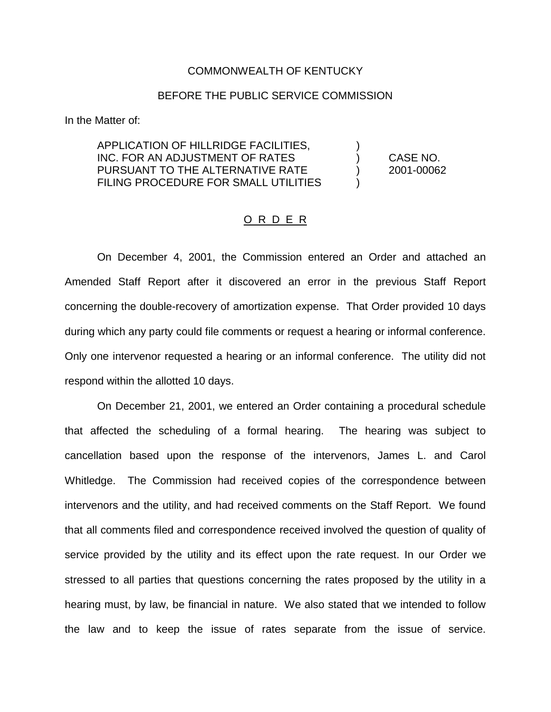## COMMONWEALTH OF KENTUCKY

## BEFORE THE PUBLIC SERVICE COMMISSION

In the Matter of:

APPLICATION OF HILLRIDGE FACILITIES, ) INC. FOR AN ADJUSTMENT OF RATES ) CASE NO. PURSUANT TO THE ALTERNATIVE RATE ) 2001-00062 FILING PROCEDURE FOR SMALL UTILITIES  $\qquad \qquad$ )

## O R D E R

On December 4, 2001, the Commission entered an Order and attached an Amended Staff Report after it discovered an error in the previous Staff Report concerning the double-recovery of amortization expense. That Order provided 10 days during which any party could file comments or request a hearing or informal conference. Only one intervenor requested a hearing or an informal conference. The utility did not respond within the allotted 10 days.

On December 21, 2001, we entered an Order containing a procedural schedule that affected the scheduling of a formal hearing. The hearing was subject to cancellation based upon the response of the intervenors, James L. and Carol Whitledge. The Commission had received copies of the correspondence between intervenors and the utility, and had received comments on the Staff Report. We found that all comments filed and correspondence received involved the question of quality of service provided by the utility and its effect upon the rate request. In our Order we stressed to all parties that questions concerning the rates proposed by the utility in a hearing must, by law, be financial in nature. We also stated that we intended to follow the law and to keep the issue of rates separate from the issue of service.